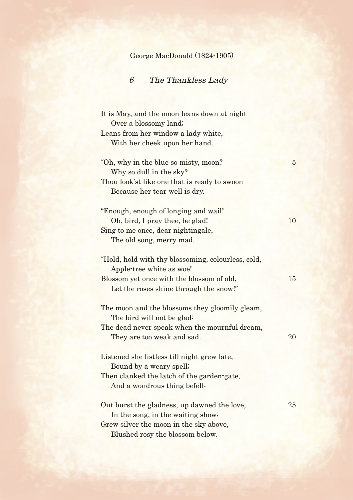## George MacDonald (1824-1905)

## 6 The Thankless Lady

| It is May, and the moon leans down at night        |                 |
|----------------------------------------------------|-----------------|
| Over a blossomy land;                              |                 |
| Leans from her window a lady white,                |                 |
| With her cheek upon her hand.                      |                 |
| "Oh, why in the blue so misty, moon?               | $5\overline{)}$ |
| Why so dull in the sky?                            |                 |
| Thou look'st like one that is ready to swoon       |                 |
| Because her tear-well is dry.                      |                 |
| "Enough, enough of longing and wail!"              |                 |
| Oh, bird, I pray thee, be glad!                    | 10              |
| Sing to me once, dear nightingale,                 |                 |
| The old song, merry mad.                           |                 |
| "Hold, hold with thy blossoming, colourless, cold, |                 |
| Apple-tree white as woe!                           |                 |
| Blossom yet once with the blossom of old,          | 15              |
| Let the roses shine through the snow!"             |                 |
| The moon and the blossoms they gloomily gleam,     |                 |
| The bird will not be glad:                         |                 |
| The dead never speak when the mournful dream,      |                 |
| They are too weak and sad.                         | 20              |
| Listened she listless till night grew late,        |                 |
| Bound by a weary spell;                            |                 |
| Then clanked the latch of the garden-gate,         |                 |
| And a wondrous thing befell:                       |                 |
| Out burst the gladness, up dawned the love,        | 25              |
| In the song, in the waiting show;                  |                 |
| Grew silver the moon in the sky above,             |                 |
| Blushed rosy the blossom below.                    |                 |